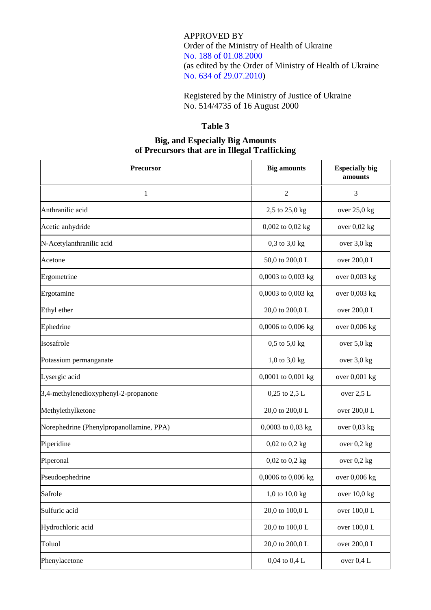APPROVED BY Order of the Ministry of Health of Ukraine No. [188 of 01.08.2000](https://cmhmda.org.ua/en/drug-related-legal-framework/order-of-ministry-of-health-188-of-01-08-2000/) (as edited by the Order of Ministry of Health of Ukraine [No. 634 of 29.07.2010\)](https://zakon.rada.gov.ua/laws/show/z0900-10)

Registered by the Ministry of Justice of Ukraine No. 514/4735 of 16 August 2000

## **Table 3**

## **Big, and Especially Big Amounts of Precursors that are in Illegal Trafficking**

| Precursor                                | <b>Big amounts</b> | <b>Especially big</b><br>amounts |
|------------------------------------------|--------------------|----------------------------------|
| $\mathbf{1}$                             | $\overline{2}$     | 3                                |
| Anthranilic acid                         | 2,5 to 25,0 kg     | over 25,0 kg                     |
| Acetic anhydride                         | 0,002 to 0,02 kg   | over 0,02 kg                     |
| N-Acetylanthranilic acid                 | $0,3$ to $3,0$ kg  | over 3,0 kg                      |
| Acetone                                  | 50,0 to 200,0 L    | over 200,0 L                     |
| Ergometrine                              | 0,0003 to 0,003 kg | over 0,003 kg                    |
| Ergotamine                               | 0,0003 to 0,003 kg | over 0,003 kg                    |
| Ethyl ether                              | 20,0 to 200,0 L    | over 200,0 L                     |
| Ephedrine                                | 0,0006 to 0,006 kg | over 0,006 kg                    |
| Isosafrole                               | $0,5$ to $5,0$ kg  | over 5,0 kg                      |
| Potassium permanganate                   | $1,0$ to $3,0$ kg  | over 3,0 kg                      |
| Lysergic acid                            | 0,0001 to 0,001 kg | over 0,001 kg                    |
| 3,4-methylenedioxyphenyl-2-propanone     | 0,25 to 2,5 L      | over $2,5$ L                     |
| Methylethylketone                        | 20,0 to 200,0 L    | over 200,0 L                     |
| Norephedrine (Phenylpropanollamine, PPA) | 0,0003 to 0,03 kg  | over $0.03$ kg                   |
| Piperidine                               | 0,02 to 0,2 kg     | over $0,2$ kg                    |
| Piperonal                                | $0,02$ to $0,2$ kg | over 0,2 kg                      |
| Pseudoephedrine                          | 0,0006 to 0,006 kg | over 0,006 kg                    |
| Safrole                                  | 1,0 to $10,0$ kg   | over 10,0 kg                     |
| Sulfuric acid                            | 20,0 to 100,0 L    | over 100,0 L                     |
| Hydrochloric acid                        | 20,0 to 100,0 L    | over 100,0 L                     |
| Toluol                                   | 20,0 to 200,0 L    | over 200,0 L                     |
| Phenylacetone                            | $0,04$ to $0,4$ L  | over 0,4 L                       |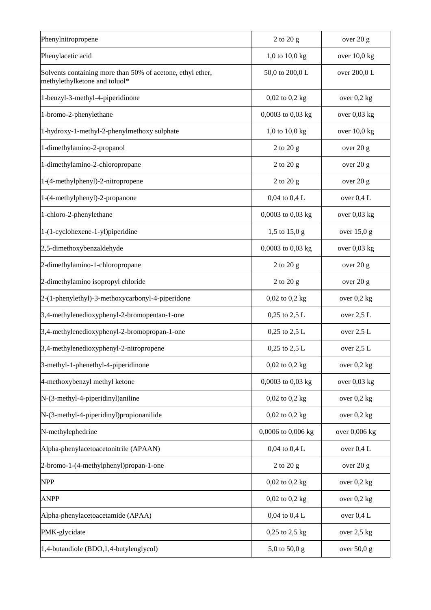| Phenylnitropropene                                                                          | $2$ to $20$ g      | over 20 g      |
|---------------------------------------------------------------------------------------------|--------------------|----------------|
| Phenylacetic acid                                                                           | 1,0 to $10,0$ kg   | over 10,0 kg   |
| Solvents containing more than 50% of acetone, ethyl ether,<br>methylethylketone and toluol* | 50,0 to 200,0 L    | over 200,0 L   |
| 1-benzyl-3-methyl-4-piperidinone                                                            | $0,02$ to $0,2$ kg | over $0,2$ kg  |
| 1-bromo-2-phenylethane                                                                      | 0,0003 to 0,03 kg  | over $0.03$ kg |
| 1-hydroxy-1-methyl-2-phenylmethoxy sulphate                                                 | 1,0 to $10,0$ kg   | over $10,0$ kg |
| 1-dimethylamino-2-propanol                                                                  | $2$ to $20$ g      | over 20 g      |
| 1-dimethylamino-2-chloropropane                                                             | 2 to 20 g          | over 20 g      |
| 1-(4-methylphenyl)-2-nitropropene                                                           | 2 to 20 g          | over 20 g      |
| 1-(4-methylphenyl)-2-propanone                                                              | 0,04 to 0,4 L      | over 0,4 L     |
| 1-chloro-2-phenylethane                                                                     | 0,0003 to 0,03 kg  | over $0.03$ kg |
| 1-(1-cyclohexene-1-yl)piperidine                                                            | 1,5 to 15,0 g      | over $15,0 g$  |
| 2,5-dimethoxybenzaldehyde                                                                   | 0,0003 to 0,03 kg  | over $0.03$ kg |
| 2-dimethylamino-1-chloropropane                                                             | $2$ to $20$ g      | over 20 g      |
| 2-dimethylamino isopropyl chloride                                                          | 2 to 20 g          | over 20 g      |
| 2-(1-phenylethyl)-3-methoxycarbonyl-4-piperidone                                            | $0,02$ to $0,2$ kg | over $0.2$ kg  |
| 3,4-methylenedioxyphenyl-2-bromopentan-1-one                                                | 0,25 to 2,5 L      | over $2,5$ L   |
| 3,4-methylenedioxyphenyl-2-bromopropan-1-one                                                | 0,25 to 2,5 L      | over 2,5 L     |
| 3,4-methylenedioxyphenyl-2-nitropropene                                                     | $0,25$ to $2,5$ L  | over $2,5$ L   |
| 3-methyl-1-phenethyl-4-piperidinone                                                         | $0,02$ to $0,2$ kg | over $0,2$ kg  |
| 4-methoxybenzyl methyl ketone                                                               | 0,0003 to 0,03 kg  | over 0,03 kg   |
| N-(3-methyl-4-piperidinyl)aniline                                                           | $0,02$ to $0,2$ kg | over $0,2$ kg  |
| N-(3-methyl-4-piperidinyl)propionanilide                                                    | $0,02$ to $0,2$ kg | over $0,2$ kg  |
| N-methylephedrine                                                                           | 0,0006 to 0,006 kg | over 0,006 kg  |
| Alpha-phenylacetoacetonitrile (APAAN)                                                       | $0,04$ to $0,4$ L  | over 0,4 L     |
| 2-bromo-1-(4-methylphenyl)propan-1-one                                                      | 2 to 20 g          | over 20 g      |
| <b>NPP</b>                                                                                  | $0,02$ to $0,2$ kg | over 0,2 kg    |
| <b>ANPP</b>                                                                                 | $0,02$ to $0,2$ kg | over $0,2$ kg  |
| Alpha-phenylacetoacetamide (APAA)                                                           | $0,04$ to $0,4$ L  | over 0,4 L     |
| PMK-glycidate                                                                               | 0,25 to 2,5 kg     | over $2,5$ kg  |
| 1,4-butandiole (BDO,1,4-butylenglycol)                                                      | 5,0 to 50,0 g      | over 50,0 g    |